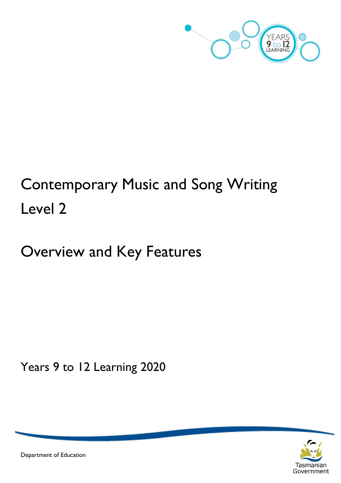

# Contemporary Music and Song Writing Level 2

## Overview and Key Features

Years 9 to 12 Learning 2020



Department of Education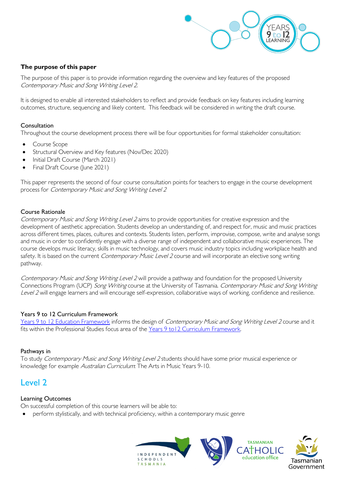

#### **The purpose of this paper**

The purpose of this paper is to provide information regarding the overview and key features of the proposed Contemporary Music and Song Writing Level 2.

It is designed to enable all interested stakeholders to reflect and provide feedback on key features including learning outcomes, structure, sequencing and likely content. This feedback will be considered in writing the draft course.

#### Consultation

Throughout the course development process there will be four opportunities for formal stakeholder consultation:

- Course Scope
- Structural Overview and Key features (Nov/Dec 2020)
- Initial Draft Course (March 2021)
- Final Draft Course (June 2021)

This paper represents the second of four course consultation points for teachers to engage in the course development process for Contemporary Music and Song Writing Level 2

#### Course Rationale

Contemporary Music and Song Writing Level 2 aims to provide opportunities for creative expression and the development of aesthetic appreciation. Students develop an understanding of, and respect for, music and music practices across different times, places, cultures and contexts. Students listen, perform, improvise, compose, write and analyse songs and music in order to confidently engage with a diverse range of independent and collaborative music experiences. The course develops music literacy, skills in music technology, and covers music industry topics including workplace health and safety. It is based on the current *Contemporary Music Level 2* course and will incorporate an elective song writing pathway.

Contemporary Music and Song Writing Level 2 will provide a pathway and foundation for the proposed University Connections Program (UCP) Song Writing course at the University of Tasmania. Contemporary Music and Song Writing Level 2 will engage learners and will encourage self-expression, collaborative ways of working, confidence and resilience.

#### Years 9 to 12 Curriculum Framework

[Years 9 to 12 Education Framework](https://publicdocumentcentre.education.tas.gov.au/library/Shared%20Documents/Years-9-to-12-Education-Framework.pdf) informs the design of Contemporary Music and Song Writing Level 2 course and it fits within the Professional Studies focus area of the [Years 9 to12 Curriculum Framework.](https://publicdocumentcentre.education.tas.gov.au/library/Shared%20Documents/Education%209-12%20Frameworks%20A3%20WEB%20POSTER.pdf)

#### Pathways in

To study Contemporary Music and Song Writing Level 2 students should have some prior musical experience or knowledge for example Australian Curriculum: The Arts in Music Years 9-10.

### Level 2

#### Learning Outcomes

On successful completion of this course learners will be able to:

• perform stylistically, and with technical proficiency, within a contemporary music genre

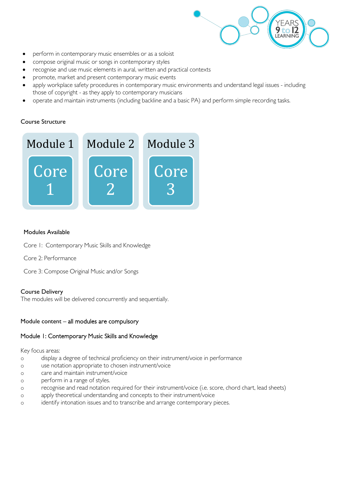

- perform in contemporary music ensembles or as a soloist
- compose original music or songs in contemporary styles
- recognise and use music elements in aural, written and practical contexts
- promote, market and present contemporary music events
- apply workplace safety procedures in contemporary music environments and understand legal issues including those of copyright - as they apply to contemporary musicians
- operate and maintain instruments (including backline and a basic PA) and perform simple recording tasks.

#### Course Structure



#### Modules Available

- Core 1: Contemporary Music Skills and Knowledge
- Core 2: Performance
- Core 3: Compose Original Music and/or Songs

#### Course Delivery

The modules will be delivered concurrently and sequentially.

#### Module content – all modules are compulsory

#### Module 1: Contemporary Music Skills and Knowledge

Key focus areas:

- o display a degree of technical proficiency on their instrument/voice in performance
- o use notation appropriate to chosen instrument/voice
- o care and maintain instrument/voice
- o perform in a range of styles.
- o recognise and read notation required for their instrument/voice (i.e. score, chord chart, lead sheets)
- o apply theoretical understanding and concepts to their instrument/voice
- o identify intonation issues and to transcribe and arrange contemporary pieces.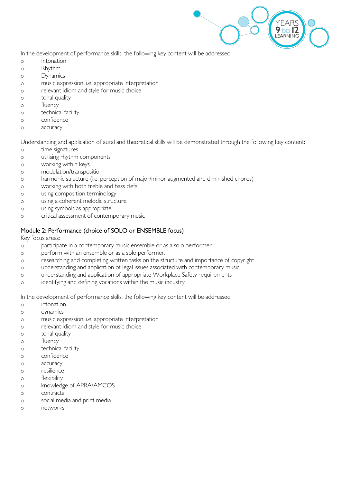

In the development of performance skills, the following key content will be addressed:

- o Intonation
- o Rhythm
- o Dynamics
- o music expression: i.e. appropriate interpretation
- o relevant idiom and style for music choice
- o tonal quality
- o fluency
- o technical facility
- o confidence
- o accuracy

Understanding and application of aural and theoretical skills will be demonstrated through the following key content:

- o time signatures
- o utilising rhythm components
- o working within keys
- o modulation/transposition
- o harmonic structure (i.e. perception of major/minor augmented and diminished chords)
- o working with both treble and bass clefs
- o using composition terminology
- o using a coherent melodic structure
- o using symbols as appropriate
- o critical assessment of contemporary music

#### Module 2: Performance (choice of SOLO or ENSEMBLE focus)

Key focus areas:

- o participate in a contemporary music ensemble or as a solo performer
- o perform with an ensemble or as a solo performer.
- o researching and completing written tasks on the structure and importance of copyright
- o understanding and application of legal issues associated with contemporary music
- o understanding and application of appropriate Workplace Safety requirements
- o identifying and defining vocations within the music industry

In the development of performance skills, the following key content will be addressed:

- o intonation
- o dynamics
- o music expression: i.e. appropriate interpretation
- o relevant idiom and style for music choice
- o tonal quality
- o fluency
- o technical facility
- o confidence
- o accuracy
- o resilience
- o flexibility
- o knowledge of APRA/AMCOS
- o contracts
- o social media and print media
- o networks